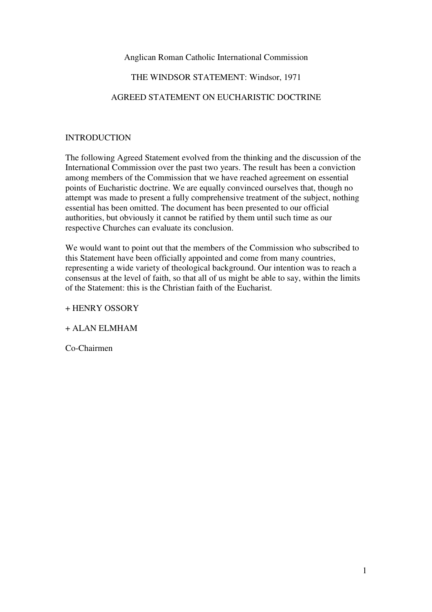#### Anglican Roman Catholic International Commission

#### THE WINDSOR STATEMENT: Windsor, 1971

## AGREED STATEMENT ON EUCHARISTIC DOCTRINE

### INTRODUCTION

The following Agreed Statement evolved from the thinking and the discussion of the International Commission over the past two years. The result has been a conviction among members of the Commission that we have reached agreement on essential points of Eucharistic doctrine. We are equally convinced ourselves that, though no attempt was made to present a fully comprehensive treatment of the subject, nothing essential has been omitted. The document has been presented to our official authorities, but obviously it cannot be ratified by them until such time as our respective Churches can evaluate its conclusion.

We would want to point out that the members of the Commission who subscribed to this Statement have been officially appointed and come from many countries, representing a wide variety of theological background. Our intention was to reach a consensus at the level of faith, so that all of us might be able to say, within the limits of the Statement: this is the Christian faith of the Eucharist.

+ HENRY OSSORY

+ ALAN ELMHAM

Co-Chairmen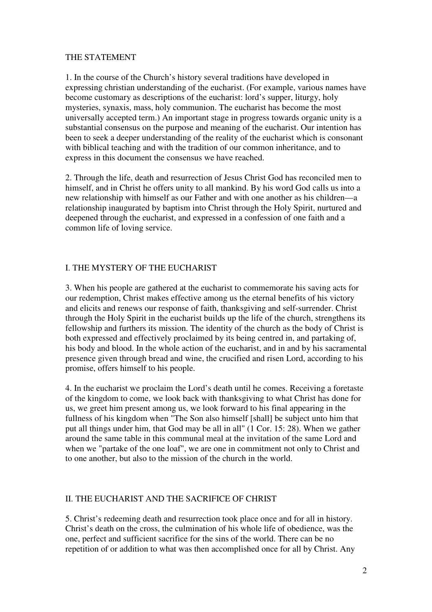#### THE STATEMENT

1. In the course of the Church's history several traditions have developed in expressing christian understanding of the eucharist. (For example, various names have become customary as descriptions of the eucharist: lord's supper, liturgy, holy mysteries, synaxis, mass, holy communion. The eucharist has become the most universally accepted term.) An important stage in progress towards organic unity is a substantial consensus on the purpose and meaning of the eucharist. Our intention has been to seek a deeper understanding of the reality of the eucharist which is consonant with biblical teaching and with the tradition of our common inheritance, and to express in this document the consensus we have reached.

2. Through the life, death and resurrection of Jesus Christ God has reconciled men to himself, and in Christ he offers unity to all mankind. By his word God calls us into a new relationship with himself as our Father and with one another as his children—a relationship inaugurated by baptism into Christ through the Holy Spirit, nurtured and deepened through the eucharist, and expressed in a confession of one faith and a common life of loving service.

# I. THE MYSTERY OF THE EUCHARIST

3. When his people are gathered at the eucharist to commemorate his saving acts for our redemption, Christ makes effective among us the eternal benefits of his victory and elicits and renews our response of faith, thanksgiving and self-surrender. Christ through the Holy Spirit in the eucharist builds up the life of the church, strengthens its fellowship and furthers its mission. The identity of the church as the body of Christ is both expressed and effectively proclaimed by its being centred in, and partaking of, his body and blood. In the whole action of the eucharist, and in and by his sacramental presence given through bread and wine, the crucified and risen Lord, according to his promise, offers himself to his people.

4. In the eucharist we proclaim the Lord's death until he comes. Receiving a foretaste of the kingdom to come, we look back with thanksgiving to what Christ has done for us, we greet him present among us, we look forward to his final appearing in the fullness of his kingdom when "The Son also himself [shall] be subject unto him that put all things under him, that God may be all in all" (1 Cor. 15: 28). When we gather around the same table in this communal meal at the invitation of the same Lord and when we "partake of the one loaf", we are one in commitment not only to Christ and to one another, but also to the mission of the church in the world.

## II. THE EUCHARIST AND THE SACRIFICE OF CHRIST

5. Christ's redeeming death and resurrection took place once and for all in history. Christ's death on the cross, the culmination of his whole life of obedience, was the one, perfect and sufficient sacrifice for the sins of the world. There can be no repetition of or addition to what was then accomplished once for all by Christ. Any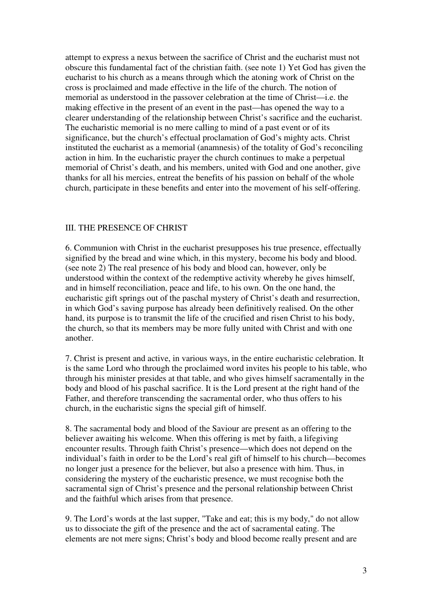attempt to express a nexus between the sacrifice of Christ and the eucharist must not obscure this fundamental fact of the christian faith. (see note 1) Yet God has given the eucharist to his church as a means through which the atoning work of Christ on the cross is proclaimed and made effective in the life of the church. The notion of memorial as understood in the passover celebration at the time of Christ—i.e. the making effective in the present of an event in the past—has opened the way to a clearer understanding of the relationship between Christ's sacrifice and the eucharist. The eucharistic memorial is no mere calling to mind of a past event or of its significance, but the church's effectual proclamation of God's mighty acts. Christ instituted the eucharist as a memorial (anamnesis) of the totality of God's reconciling action in him. In the eucharistic prayer the church continues to make a perpetual memorial of Christ's death, and his members, united with God and one another, give thanks for all his mercies, entreat the benefits of his passion on behalf of the whole church, participate in these benefits and enter into the movement of his self-offering.

#### III. THE PRESENCE OF CHRIST

6. Communion with Christ in the eucharist presupposes his true presence, effectually signified by the bread and wine which, in this mystery, become his body and blood. (see note 2) The real presence of his body and blood can, however, only be understood within the context of the redemptive activity whereby he gives himself, and in himself reconciliation, peace and life, to his own. On the one hand, the eucharistic gift springs out of the paschal mystery of Christ's death and resurrection, in which God's saving purpose has already been definitively realised. On the other hand, its purpose is to transmit the life of the crucified and risen Christ to his body, the church, so that its members may be more fully united with Christ and with one another.

7. Christ is present and active, in various ways, in the entire eucharistic celebration. It is the same Lord who through the proclaimed word invites his people to his table, who through his minister presides at that table, and who gives himself sacramentally in the body and blood of his paschal sacrifice. It is the Lord present at the right hand of the Father, and therefore transcending the sacramental order, who thus offers to his church, in the eucharistic signs the special gift of himself.

8. The sacramental body and blood of the Saviour are present as an offering to the believer awaiting his welcome. When this offering is met by faith, a lifegiving encounter results. Through faith Christ's presence—which does not depend on the individual's faith in order to be the Lord's real gift of himself to his church—becomes no longer just a presence for the believer, but also a presence with him. Thus, in considering the mystery of the eucharistic presence, we must recognise both the sacramental sign of Christ's presence and the personal relationship between Christ and the faithful which arises from that presence.

9. The Lord's words at the last supper, "Take and eat; this is my body," do not allow us to dissociate the gift of the presence and the act of sacramental eating. The elements are not mere signs; Christ's body and blood become really present and are